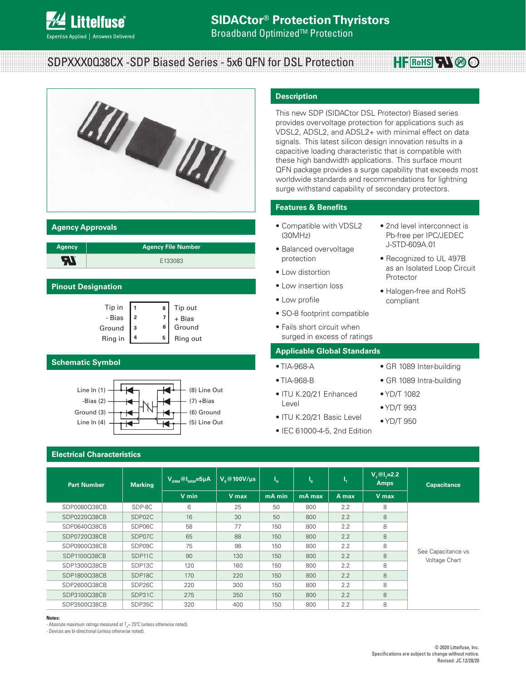

**Broadband Optimized<sup>™</sup> Protection** 

# SDPXXX0Q38CX -SDP Biased Series - 5x6 QFN for DSL Protection

**HEROHS RN & 3** 



#### **Agency Approvals**

| <b>Agency</b> | <b>Agency File Number</b> |
|---------------|---------------------------|
| ▭             | F133083                   |

#### **Pinout Designation**

| Tip in  | 8 | Tip out  |
|---------|---|----------|
| - Bias  |   | + Bias   |
| Ground  | 6 | Ground   |
| Ring in | 5 | Ring out |

#### **Schematic Symbol**



## **Electrical Characteristics**

#### **Part Number** Marking  $\overline{\mathsf{V}_{\mathsf{DRM}}\circledcirc\mathsf{I}_{\mathsf{DRM}}}$ =5µA  $\overline{\mathsf{V}}_{\mathsf{S}}\circledcirc$ 100V/µs  $\overline{\mathsf{I}}_{\mathsf{H}}$ **<sup>H</sup> I <sup>S</sup> I T**  $V_\text{T}$ @I<sub>T</sub>=2.2<br>**Amps Amps Capacitance V min V max mA min mA max A max V max** SDP0080Q38CB SDP-8C 6 25 50 800 2.2 8 See Capacitance vs Voltage Chart SDP0220Q38CB SDP02C 16 30 50 800 2.2 8 SDP0640Q38CB SDP06C 58 77 150 800 2.2 8 SDP0720Q38CB SDP07C 65 88 150 800 2.2 8 SDP0900Q38CB SDP09C 75 98 150 800 2.2 8 SDP1100Q38CB SDP11C 90 130 150 800 2.2 8 SDP1300Q38CB SDP13C 120 160 150 800 2.2 8 SDP1800Q38CB SDP18C 170 220 150 800 2.2 8 SDP2600Q38CB SDP26C 220 300 150 800 2.2 8 SDP3100Q38CB SDP31C 275 350 150 800 2.2 8 SDP3500Q38CB SDP35C 320 400 150 800 2.2 8

#### **Notes:**

- Absolute maximum ratings measured at  $T_A = 25^{\circ}$ C (unless otherwise noted).

- Devices are bi-directional (unless otherwise noted).

## **Description**

This new SDP (SIDACtor DSL Protector) Biased series provides overvoltage protection for applications such as VDSL2, ADSL2, and ADSL2+ with minimal effect on data signals. This latest silicon design innovation results in a capacitive loading characteristic that is compatible with these high bandwidth applications. This surface mount QFN package provides a surge capability that exceeds most worldwide standards and recommendations for lightning surge withstand capability of secondary protectors.

### **Features & Benefits**

- Compatible with VDSL2 (30MHz)
- Balanced overvoltage protection
- Low distortion
- Low insertion loss
- Low profile
- SO-8 footprint compatible
- Fails short circuit when surged in excess of ratings

#### **Applicable Global Standards**

- TIA-968-A
- TIA-968-B
- ITU K.20/21 Enhanced Level
- ITU K.20/21 Basic Level
- IEC 61000-4-5, 2nd Edition

• 2nd level interconnect is Pb-free per IPC/JEDEC J-STD-609A.01

• Recognized to UL 497B as an Isolated Loop Circuit

• Halogen-free and RoHS

- GR 1089 Inter-building
- GR 1089 Intra-building
- YD/T 1082

Protector

compliant

- YD/T 993
- YD/T 950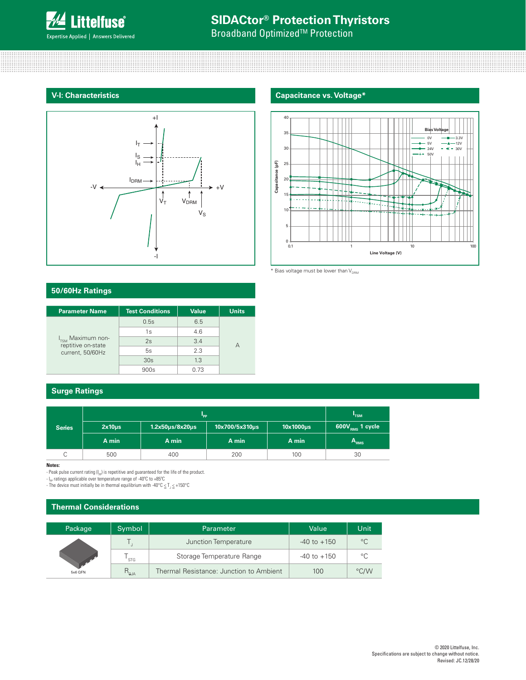

**Broadband Optimized<sup>™</sup> Protection** 



## **V-I: Characteristics Capacitance vs. Voltage\***



 $*$  Bias voltage must be lower than  $V_{DRM}$ 

### **50/60Hz Ratings**

| <b>Parameter Name</b>                               | <b>Test Conditions</b> | <b>Value</b> | <b>Units</b> |
|-----------------------------------------------------|------------------------|--------------|--------------|
|                                                     | 0.5s                   | 6.5          |              |
|                                                     | 1s                     | 4.6          |              |
| $I_{\text{TSM}}$ Maximum non-<br>reptitive on-state | 2s                     | 3.4          |              |
| current, 50/60Hz                                    | 5s                     | 2.3          |              |
|                                                     | 30s                    | 1.3          |              |
|                                                     | 900s                   |              |              |

### **Surge Ratings**

|               |             | "TSM                    |                |                |                             |
|---------------|-------------|-------------------------|----------------|----------------|-----------------------------|
| <b>Series</b> | $2x10\mu s$ | $1.2x50\mu s/8x20\mu s$ | 10x700/5x310us | $10x1000\mu s$ | 600V <sub>RMS</sub> 1 cycle |
|               | A min       | A min                   | A min          | A min          | A <sub>RMS</sub>            |
|               | 500         | 400                     | 200            | 100            | 30                          |

**Notes:** 

- Peak pulse current rating (I<sub>PP</sub>) is repetitive and guaranteed for the life of the product.<br>- I<sub>PP</sub> ratings applicable over temperature range of -40°C to +85°C

- The device must initially be in thermal equilibrium with -40°C  $\leq T_J \leq +150$ °C

## **Thermal Considerations**

| Package | Symbol         | Parameter                               | Value           | Unit         |
|---------|----------------|-----------------------------------------|-----------------|--------------|
|         |                | Junction Temperature                    | $-40$ to $+150$ | $^{\circ}C$  |
|         | <b>STG</b>     | Storage Temperature Range               | $-40$ to $+150$ | $^{\circ}$ C |
| 5x6 QFN | $R_{\theta$ JA | Thermal Resistance: Junction to Ambient | 100             | °C/W         |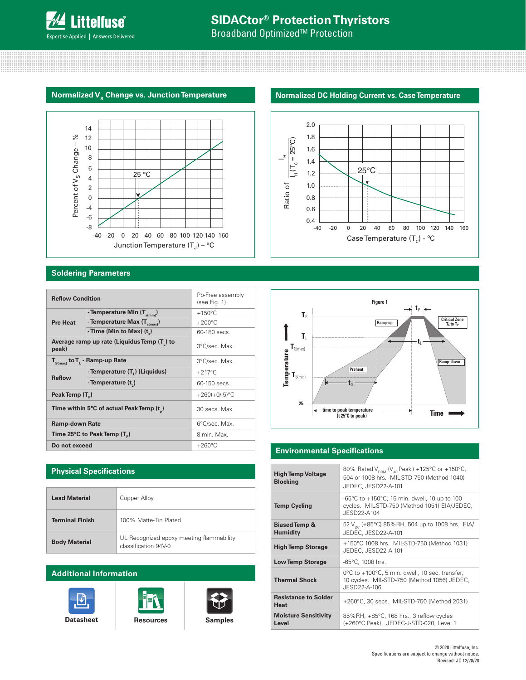

**Broadband Optimized<sup>™</sup> Protection** 

### **Normalized V<sub>s</sub> Change vs. Junction Temperature <b>Normalized DC Holding Current vs. Case Temperature**



### **Soldering Parameters**

| <b>Reflow Condition</b>                              |                                          | Pb-Free assembly<br>(see Fig. 1) |  |
|------------------------------------------------------|------------------------------------------|----------------------------------|--|
|                                                      | - Temperature Min (T <sub>s(min)</sub> ) | $+150^{\circ}$ C                 |  |
| <b>Pre Heat</b>                                      | - Temperature Max $(T_{s(max)})$         | $+200^{\circ}$ C                 |  |
|                                                      | - Time (Min to Max) $(t_1)$              | 60-180 secs.                     |  |
| Average ramp up rate (Liquidus Temp (T,) to<br>peak) |                                          | 3°C/sec. Max.                    |  |
| $T_{S(max)}$ to $T_{L}$ - Ramp-up Rate               |                                          | 3°C/sec. Max.                    |  |
|                                                      | - Temperature (T,) (Liquidus)            | $+217^{\circ}$ C                 |  |
| <b>Reflow</b>                                        | - Temperature (t)                        | 60-150 secs.                     |  |
| Peak Temp (T <sub>a</sub> )                          |                                          | $+260(+0/-5)$ °C                 |  |
|                                                      | Time within 5°C of actual Peak Temp (t)  | 30 secs. Max.                    |  |
| <b>Ramp-down Rate</b>                                |                                          | 6°C/sec. Max.                    |  |
| Time 25°C to Peak Temp (T <sub>a</sub> )             |                                          | 8 min. Max.                      |  |
| Do not exceed                                        |                                          | $+260^{\circ}$ C                 |  |

## **Physical Specifications**

| <b>Lead Material</b>   | Copper Alloy                                                     |
|------------------------|------------------------------------------------------------------|
| <b>Terminal Finish</b> | 100% Matte-Tin Plated                                            |
| <b>Body Material</b>   | UL Recognized epoxy meeting flammability<br>classification 94V-0 |

## **Additional Information**











#### **Environmental Specifications**

| <b>High Temp Voltage</b><br><b>Blocking</b> | 80% Rated $V_{DBM}$ (V <sub>AC</sub> Peak) +125°C or +150°C,<br>504 or 1008 hrs. MIL-STD-750 (Method 1040)<br>JEDEC, JESD22-A-101 |
|---------------------------------------------|-----------------------------------------------------------------------------------------------------------------------------------|
| <b>Temp Cycling</b>                         | -65°C to $+150$ °C, 15 min. dwell, 10 up to 100<br>cycles. MIL-STD-750 (Method 1051) EIA/JEDEC,<br>JESD22-A104                    |
| <b>Biased Temp &amp;</b><br><b>Humidity</b> | 52 V <sub>pc</sub> (+85°C) 85%RH, 504 up to 1008 hrs. EIA/<br>JEDEC, JESD22-A-101                                                 |
| <b>High Temp Storage</b>                    | +150°C 1008 hrs. MIL-STD-750 (Method 1031)<br>JEDEC, JESD22-A-101                                                                 |
| <b>Low Temp Storage</b>                     | -65°C, 1008 hrs.                                                                                                                  |
| <b>Thermal Shock</b>                        | 0°C to +100°C, 5 min. dwell, 10 sec. transfer,<br>10 cycles. MIL-STD-750 (Method 1056) JEDEC,<br>JESD22-A-106                     |
| <b>Resistance to Solder</b><br>Heat         | +260°C, 30 secs. MIL-STD-750 (Method 2031)                                                                                        |
| <b>Moisture Sensitivity</b><br>Level        | 85%RH, +85°C, 168 hrs., 3 reflow cycles<br>(+260°C Peak). JEDEC-J-STD-020, Level 1                                                |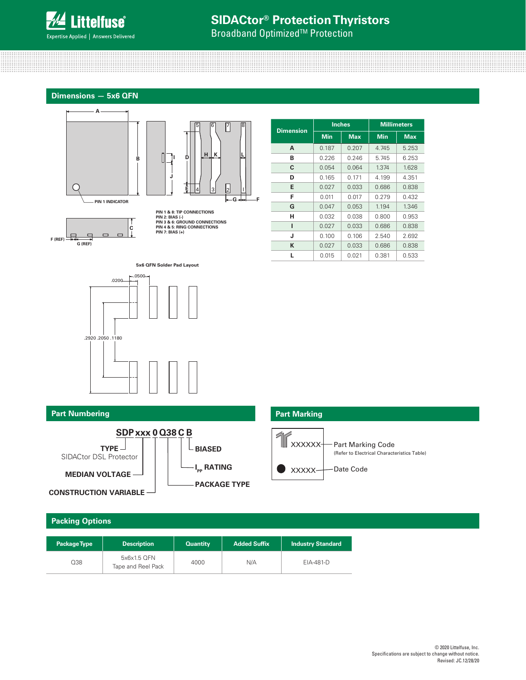

**Broadband Optimized<sup>™</sup> Protection** 

**Dimensions — 5x6 QFN**





**PIN 1 & 8: TIP CONNECTIONS PIN 2: BIAS (-) PIN 3 & 6: GROUND CONNECTIONS PIN 4 & 5: RING CONNECTIONS PIN 7: BIAS (+)**

| <b>Dimension</b> | <b>Inches</b> |            | <b>Millimeters</b> |            |
|------------------|---------------|------------|--------------------|------------|
|                  | Min           | <b>Max</b> | <b>Min</b>         | <b>Max</b> |
| A                | 0.187         | 0.207      | 4.745              | 5.253      |
| в                | 0.226         | 0.246      | 5.745              | 6.253      |
| C                | 0.054         | 0.064      | 1.374              | 1.628      |
| D                | 0.165         | 0.171      | 4.199              | 4.351      |
| Е                | 0.027         | 0.033      | 0.686              | 0.838      |
| F                | 0.011         | 0.017      | 0.279              | 0.432      |
| G                | 0.047         | 0.053      | 1.194              | 1.346      |
| н                | 0.032         | 0.038      | 0.800              | 0.953      |
| ı                | 0.027         | 0.033      | 0.686              | 0.838      |
| J                | 0.100         | 0.106      | 2.540              | 2.692      |
| ĸ                | 0.027         | 0.033      | 0.686              | 0.838      |
| L                | 0.015         | 0.021      | 0.381              | 0.533      |





| .2050.1180 |  |  |
|------------|--|--|
|            |  |  |



**CONSTRUCTION VARIABLE**

## **Packing Options**

| <b>Package Type</b> | <b>Description</b>                | <b>Quantity</b> | <b>Added Suffix</b> | <b>Industry Standard</b> |
|---------------------|-----------------------------------|-----------------|---------------------|--------------------------|
| Q38                 | 5x6x1.5 OFN<br>Tape and Reel Pack | 4000            | N/A                 | EIA-481-D                |

## **Part Numbering Part Marking**